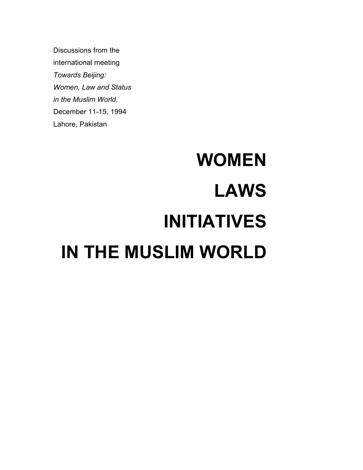Discussions from the international meeting Towards Beijing: Women, Law and Status in the Muslim World, December 11-15, 1994 Lahore, Pakistan

# WOMEN LAWS INITIATIVES IN THE MUSLIM WORLD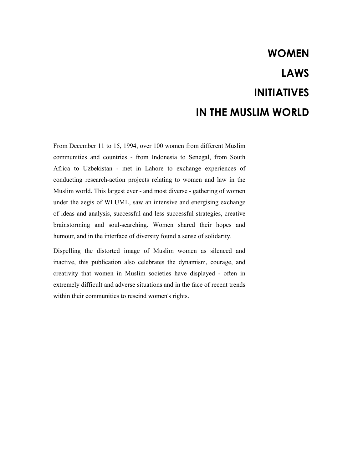# WOMEN LAWS INITIATIVES IN THE MUSLIM WORLD

From December 11 to 15, 1994, over 100 women from different Muslim communities and countries - from Indonesia to Senegal, from South Africa to Uzbekistan - met in Lahore to exchange experiences of conducting research-action projects relating to women and law in the Muslim world. This largest ever - and most diverse - gathering of women under the aegis of WLUML, saw an intensive and energising exchange of ideas and analysis, successful and less successful strategies, creative brainstorming and soul-searching. Women shared their hopes and humour, and in the interface of diversity found a sense of solidarity.

Dispelling the distorted image of Muslim women as silenced and inactive, this publication also celebrates the dynamism, courage, and creativity that women in Muslim societies have displayed - often in extremely difficult and adverse situations and in the face of recent trends within their communities to rescind women's rights.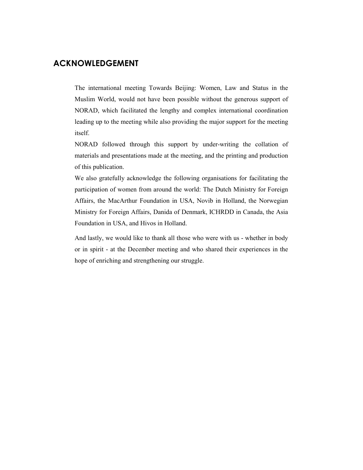# ACKNOWLEDGEMENT

The international meeting Towards Beijing: Women, Law and Status in the Muslim World, would not have been possible without the generous support of NORAD, which facilitated the lengthy and complex international coordination leading up to the meeting while also providing the major support for the meeting itself.

NORAD followed through this support by under-writing the collation of materials and presentations made at the meeting, and the printing and production of this publication.

We also gratefully acknowledge the following organisations for facilitating the participation of women from around the world: The Dutch Ministry for Foreign Affairs, the MacArthur Foundation in USA, Novib in Holland, the Norwegian Ministry for Foreign Affairs, Danida of Denmark, ICHRDD in Canada, the Asia Foundation in USA, and Hivos in Holland.

And lastly, we would like to thank all those who were with us - whether in body or in spirit - at the December meeting and who shared their experiences in the hope of enriching and strengthening our struggle.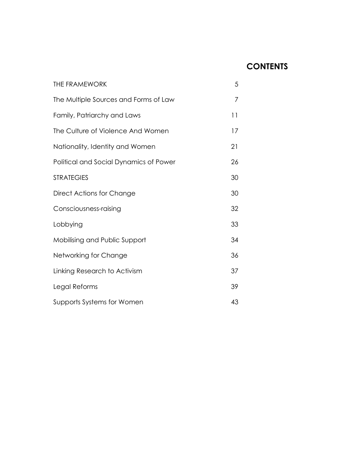# **CONTENTS**

| <b>THE FRAMEWORK</b>                   | 5  |
|----------------------------------------|----|
| The Multiple Sources and Forms of Law  | 7  |
| Family, Patriarchy and Laws            | 11 |
| The Culture of Violence And Women      | 17 |
| Nationality, Identity and Women        | 21 |
| Political and Social Dynamics of Power | 26 |
| <b>STRATEGIES</b>                      | 30 |
| Direct Actions for Change              | 30 |
| Consciousness-raising                  | 32 |
| Lobbying                               | 33 |
| Mobilising and Public Support          | 34 |
| Networking for Change                  | 36 |
| Linking Research to Activism           | 37 |
| Legal Reforms                          | 39 |
| Supports Systems for Women             | 43 |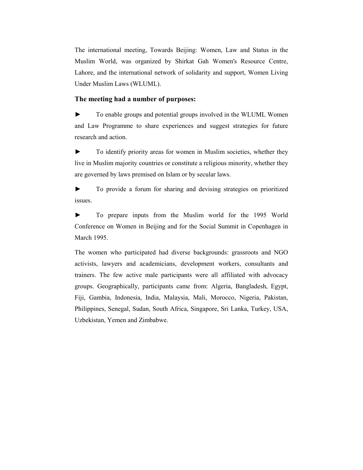The international meeting, Towards Beijing: Women, Law and Status in the Muslim World, was organized by Shirkat Gah Women's Resource Centre, Lahore, and the international network of solidarity and support, Women Living Under Muslim Laws (WLUML).

#### The meeting had a number of purposes:

► To enable groups and potential groups involved in the WLUML Women and Law Programme to share experiences and suggest strategies for future research and action.

► To identify priority areas for women in Muslim societies, whether they live in Muslim majority countries or constitute a religious minority, whether they are governed by laws premised on Islam or by secular laws.

► To provide a forum for sharing and devising strategies on prioritized issues.

► To prepare inputs from the Muslim world for the 1995 World Conference on Women in Beijing and for the Social Summit in Copenhagen in March 1995.

The women who participated had diverse backgrounds: grassroots and NGO activists, lawyers and academicians, development workers, consultants and trainers. The few active male participants were all affiliated with advocacy groups. Geographically, participants came from: Algeria, Bangladesh, Egypt, Fiji, Gambia, Indonesia, India, Malaysia, Mali, Morocco, Nigeria, Pakistan, Philippines, Senegal, Sudan, South Africa, Singapore, Sri Lanka, Turkey, USA, Uzbekistan, Yemen and Zimbabwe.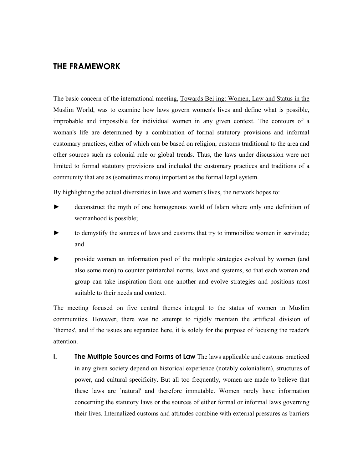## THE FRAMEWORK

The basic concern of the international meeting, Towards Beijing: Women, Law and Status in the Muslim World, was to examine how laws govern women's lives and define what is possible, improbable and impossible for individual women in any given context. The contours of a woman's life are determined by a combination of formal statutory provisions and informal customary practices, either of which can be based on religion, customs traditional to the area and other sources such as colonial rule or global trends. Thus, the laws under discussion were not limited to formal statutory provisions and included the customary practices and traditions of a community that are as (sometimes more) important as the formal legal system.

By highlighting the actual diversities in laws and women's lives, the network hopes to:

- ► deconstruct the myth of one homogenous world of Islam where only one definition of womanhood is possible;
- to demystify the sources of laws and customs that try to immobilize women in servitude; and
- ► provide women an information pool of the multiple strategies evolved by women (and also some men) to counter patriarchal norms, laws and systems, so that each woman and group can take inspiration from one another and evolve strategies and positions most suitable to their needs and context.

The meeting focused on five central themes integral to the status of women in Muslim communities. However, there was no attempt to rigidly maintain the artificial division of `themes', and if the issues are separated here, it is solely for the purpose of focusing the reader's attention.

I. The Multiple Sources and Forms of Law The laws applicable and customs practiced in any given society depend on historical experience (notably colonialism), structures of power, and cultural specificity. But all too frequently, women are made to believe that these laws are `natural' and therefore immutable. Women rarely have information concerning the statutory laws or the sources of either formal or informal laws governing their lives. Internalized customs and attitudes combine with external pressures as barriers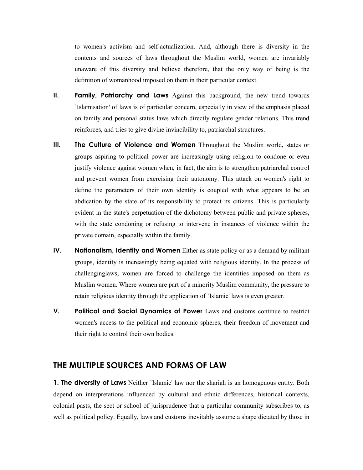to women's activism and self-actualization. And, although there is diversity in the contents and sources of laws throughout the Muslim world, women are invariably unaware of this diversity and believe therefore, that the only way of being is the definition of womanhood imposed on them in their particular context.

- II. Family, Patriarchy and Laws Against this background, the new trend towards `Islamisation' of laws is of particular concern, especially in view of the emphasis placed on family and personal status laws which directly regulate gender relations. This trend reinforces, and tries to give divine invincibility to, patriarchal structures.
- III. The Culture of Violence and Women Throughout the Muslim world, states or groups aspiring to political power are increasingly using religion to condone or even justify violence against women when, in fact, the aim is to strengthen patriarchal control and prevent women from exercising their autonomy. This attack on women's right to define the parameters of their own identity is coupled with what appears to be an abdication by the state of its responsibility to protect its citizens. This is particularly evident in the state's perpetuation of the dichotomy between public and private spheres, with the state condoning or refusing to intervene in instances of violence within the private domain, especially within the family.
- IV. Nationalism, Identity and Women Either as state policy or as a demand by militant groups, identity is increasingly being equated with religious identity. In the process of challenginglaws, women are forced to challenge the identities imposed on them as Muslim women. Where women are part of a minority Muslim community, the pressure to retain religious identity through the application of `Islamic' laws is even greater.
- V. Political and Social Dynamics of Power Laws and customs continue to restrict women's access to the political and economic spheres, their freedom of movement and their right to control their own bodies.

#### THE MULTIPLE SOURCES AND FORMS OF LAW

**1. The diversity of Laws** Neither 'Islamic' law nor the shariah is an homogenous entity. Both depend on interpretations influenced by cultural and ethnic differences, historical contexts, colonial pasts, the sect or school of jurisprudence that a particular community subscribes to, as well as political policy. Equally, laws and customs inevitably assume a shape dictated by those in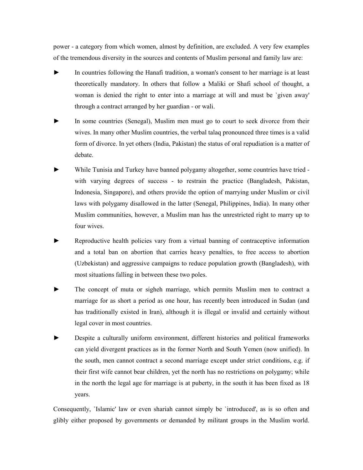power - a category from which women, almost by definition, are excluded. A very few examples of the tremendous diversity in the sources and contents of Muslim personal and family law are:

- In countries following the Hanafi tradition, a woman's consent to her marriage is at least theoretically mandatory. In others that follow a Maliki or Shafi school of thought, a woman is denied the right to enter into a marriage at will and must be `given away' through a contract arranged by her guardian - or wali.
- In some countries (Senegal), Muslim men must go to court to seek divorce from their wives. In many other Muslim countries, the verbal talaq pronounced three times is a valid form of divorce. In yet others (India, Pakistan) the status of oral repudiation is a matter of debate.
- While Tunisia and Turkey have banned polygamy altogether, some countries have tried with varying degrees of success - to restrain the practice (Bangladesh, Pakistan, Indonesia, Singapore), and others provide the option of marrying under Muslim or civil laws with polygamy disallowed in the latter (Senegal, Philippines, India). In many other Muslim communities, however, a Muslim man has the unrestricted right to marry up to four wives.
- Reproductive health policies vary from a virtual banning of contraceptive information and a total ban on abortion that carries heavy penalties, to free access to abortion (Uzbekistan) and aggressive campaigns to reduce population growth (Bangladesh), with most situations falling in between these two poles.
- The concept of muta or sigheh marriage, which permits Muslim men to contract a marriage for as short a period as one hour, has recently been introduced in Sudan (and has traditionally existed in Iran), although it is illegal or invalid and certainly without legal cover in most countries.
- ► Despite a culturally uniform environment, different histories and political frameworks can yield divergent practices as in the former North and South Yemen (now unified). In the south, men cannot contract a second marriage except under strict conditions, e.g. if their first wife cannot bear children, yet the north has no restrictions on polygamy; while in the north the legal age for marriage is at puberty, in the south it has been fixed as 18 years.

Consequently, `Islamic' law or even shariah cannot simply be `introduced', as is so often and glibly either proposed by governments or demanded by militant groups in the Muslim world.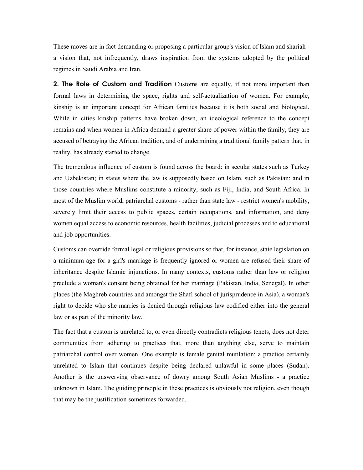These moves are in fact demanding or proposing a particular group's vision of Islam and shariah a vision that, not infrequently, draws inspiration from the systems adopted by the political regimes in Saudi Arabia and Iran.

**2. The Role of Custom and Tradition** Customs are equally, if not more important than formal laws in determining the space, rights and self-actualization of women. For example, kinship is an important concept for African families because it is both social and biological. While in cities kinship patterns have broken down, an ideological reference to the concept remains and when women in Africa demand a greater share of power within the family, they are accused of betraying the African tradition, and of undermining a traditional family pattern that, in reality, has already started to change.

The tremendous influence of custom is found across the board: in secular states such as Turkey and Uzbekistan; in states where the law is supposedly based on Islam, such as Pakistan; and in those countries where Muslims constitute a minority, such as Fiji, India, and South Africa. In most of the Muslim world, patriarchal customs - rather than state law - restrict women's mobility, severely limit their access to public spaces, certain occupations, and information, and deny women equal access to economic resources, health facilities, judicial processes and to educational and job opportunities.

Customs can override formal legal or religious provisions so that, for instance, state legislation on a minimum age for a girl's marriage is frequently ignored or women are refused their share of inheritance despite Islamic injunctions. In many contexts, customs rather than law or religion preclude a woman's consent being obtained for her marriage (Pakistan, India, Senegal). In other places (the Maghreb countries and amongst the Shafi school of jurisprudence in Asia), a woman's right to decide who she marries is denied through religious law codified either into the general law or as part of the minority law.

The fact that a custom is unrelated to, or even directly contradicts religious tenets, does not deter communities from adhering to practices that, more than anything else, serve to maintain patriarchal control over women. One example is female genital mutilation; a practice certainly unrelated to Islam that continues despite being declared unlawful in some places (Sudan). Another is the unswerving observance of dowry among South Asian Muslims - a practice unknown in Islam. The guiding principle in these practices is obviously not religion, even though that may be the justification sometimes forwarded.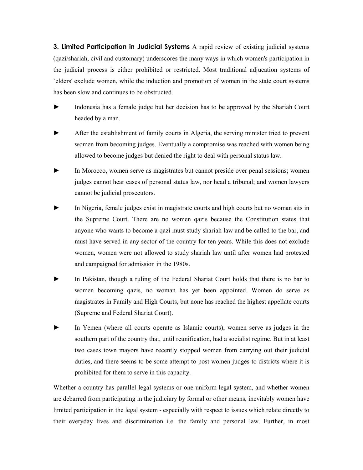**3. Limited Participation in Judicial Systems** A rapid review of existing judicial systems (qazi/shariah, civil and customary) underscores the many ways in which women's participation in the judicial process is either prohibited or restricted. Most traditional adjucation systems of `elders' exclude women, while the induction and promotion of women in the state court systems has been slow and continues to be obstructed.

- Indonesia has a female judge but her decision has to be approved by the Shariah Court headed by a man.
- After the establishment of family courts in Algeria, the serving minister tried to prevent women from becoming judges. Eventually a compromise was reached with women being allowed to become judges but denied the right to deal with personal status law.
- In Morocco, women serve as magistrates but cannot preside over penal sessions; women judges cannot hear cases of personal status law, nor head a tribunal; and women lawyers cannot be judicial prosecutors.
- In Nigeria, female judges exist in magistrate courts and high courts but no woman sits in the Supreme Court. There are no women qazis because the Constitution states that anyone who wants to become a qazi must study shariah law and be called to the bar, and must have served in any sector of the country for ten years. While this does not exclude women, women were not allowed to study shariah law until after women had protested and campaigned for admission in the 1980s.
- In Pakistan, though a ruling of the Federal Shariat Court holds that there is no bar to women becoming qazis, no woman has yet been appointed. Women do serve as magistrates in Family and High Courts, but none has reached the highest appellate courts (Supreme and Federal Shariat Court).
- In Yemen (where all courts operate as Islamic courts), women serve as judges in the southern part of the country that, until reunification, had a socialist regime. But in at least two cases town mayors have recently stopped women from carrying out their judicial duties, and there seems to be some attempt to post women judges to districts where it is prohibited for them to serve in this capacity.

Whether a country has parallel legal systems or one uniform legal system, and whether women are debarred from participating in the judiciary by formal or other means, inevitably women have limited participation in the legal system - especially with respect to issues which relate directly to their everyday lives and discrimination i.e. the family and personal law. Further, in most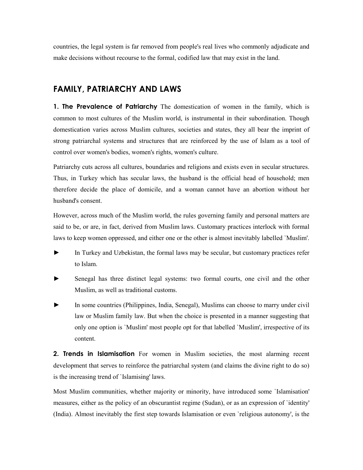countries, the legal system is far removed from people's real lives who commonly adjudicate and make decisions without recourse to the formal, codified law that may exist in the land.

# FAMILY, PATRIARCHY AND LAWS

**1. The Prevalence of Patriarchy** The domestication of women in the family, which is common to most cultures of the Muslim world, is instrumental in their subordination. Though domestication varies across Muslim cultures, societies and states, they all bear the imprint of strong patriarchal systems and structures that are reinforced by the use of Islam as a tool of control over women's bodies, women's rights, women's culture.

Patriarchy cuts across all cultures, boundaries and religions and exists even in secular structures. Thus, in Turkey which has secular laws, the husband is the official head of household; men therefore decide the place of domicile, and a woman cannot have an abortion without her husband's consent.

However, across much of the Muslim world, the rules governing family and personal matters are said to be, or are, in fact, derived from Muslim laws. Customary practices interlock with formal laws to keep women oppressed, and either one or the other is almost inevitably labelled `Muslim'.

- ► In Turkey and Uzbekistan, the formal laws may be secular, but customary practices refer to Islam.
- Senegal has three distinct legal systems: two formal courts, one civil and the other Muslim, as well as traditional customs.
- In some countries (Philippines, India, Senegal), Muslims can choose to marry under civil law or Muslim family law. But when the choice is presented in a manner suggesting that only one option is `Muslim' most people opt for that labelled `Muslim', irrespective of its content.

**2. Trends in Islamisation** For women in Muslim societies, the most alarming recent development that serves to reinforce the patriarchal system (and claims the divine right to do so) is the increasing trend of `Islamising' laws.

Most Muslim communities, whether majority or minority, have introduced some `Islamisation' measures, either as the policy of an obscurantist regime (Sudan), or as an expression of `identity' (India). Almost inevitably the first step towards Islamisation or even `religious autonomy', is the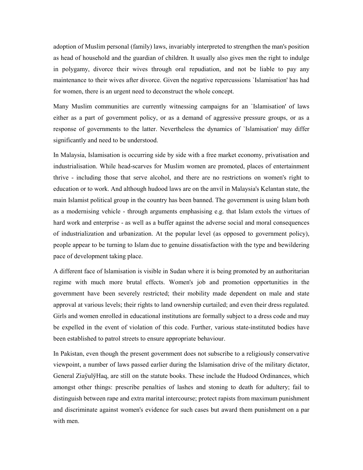adoption of Muslim personal (family) laws, invariably interpreted to strengthen the man's position as head of household and the guardian of children. It usually also gives men the right to indulge in polygamy, divorce their wives through oral repudiation, and not be liable to pay any maintenance to their wives after divorce. Given the negative repercussions `Islamisation' has had for women, there is an urgent need to deconstruct the whole concept.

Many Muslim communities are currently witnessing campaigns for an `Islamisation' of laws either as a part of government policy, or as a demand of aggressive pressure groups, or as a response of governments to the latter. Nevertheless the dynamics of `Islamisation' may differ significantly and need to be understood.

In Malaysia, Islamisation is occurring side by side with a free market economy, privatisation and industrialisation. While head-scarves for Muslim women are promoted, places of entertainment thrive - including those that serve alcohol, and there are no restrictions on women's right to education or to work. And although hudood laws are on the anvil in Malaysia's Kelantan state, the main Islamist political group in the country has been banned. The government is using Islam both as a modernising vehicle - through arguments emphasising e.g. that Islam extols the virtues of hard work and enterprise - as well as a buffer against the adverse social and moral consequences of industrialization and urbanization. At the popular level (as opposed to government policy), people appear to be turning to Islam due to genuine dissatisfaction with the type and bewildering pace of development taking place.

A different face of Islamisation is visible in Sudan where it is being promoted by an authoritarian regime with much more brutal effects. Women's job and promotion opportunities in the government have been severely restricted; their mobility made dependent on male and state approval at various levels; their rights to land ownership curtailed; and even their dress regulated. Girls and women enrolled in educational institutions are formally subject to a dress code and may be expelled in the event of violation of this code. Further, various state-instituted bodies have been established to patrol streets to ensure appropriate behaviour.

In Pakistan, even though the present government does not subscribe to a religiously conservative viewpoint, a number of laws passed earlier during the Islamisation drive of the military dictator, General ZiaÿulÿHaq, are still on the statute books. These include the Hudood Ordinances, which amongst other things: prescribe penalties of lashes and stoning to death for adultery; fail to distinguish between rape and extra marital intercourse; protect rapists from maximum punishment and discriminate against women's evidence for such cases but award them punishment on a par with men.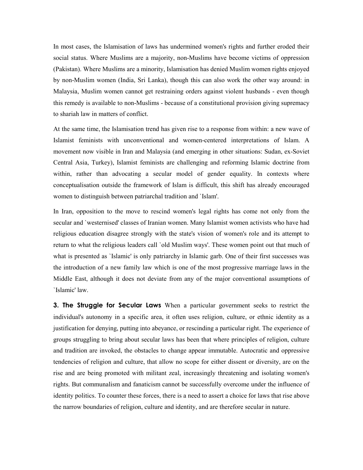In most cases, the Islamisation of laws has undermined women's rights and further eroded their social status. Where Muslims are a majority, non-Muslims have become victims of oppression (Pakistan). Where Muslims are a minority, Islamisation has denied Muslim women rights enjoyed by non-Muslim women (India, Sri Lanka), though this can also work the other way around: in Malaysia, Muslim women cannot get restraining orders against violent husbands - even though this remedy is available to non-Muslims - because of a constitutional provision giving supremacy to shariah law in matters of conflict.

At the same time, the Islamisation trend has given rise to a response from within: a new wave of Islamist feminists with unconventional and women-centered interpretations of Islam. A movement now visible in Iran and Malaysia (and emerging in other situations: Sudan, ex-Soviet Central Asia, Turkey), Islamist feminists are challenging and reforming Islamic doctrine from within, rather than advocating a secular model of gender equality. In contexts where conceptualisation outside the framework of Islam is difficult, this shift has already encouraged women to distinguish between patriarchal tradition and `Islam'.

In Iran, opposition to the move to rescind women's legal rights has come not only from the secular and `westernised' classes of Iranian women. Many Islamist women activists who have had religious education disagree strongly with the state's vision of women's role and its attempt to return to what the religious leaders call `old Muslim ways'. These women point out that much of what is presented as `Islamic' is only patriarchy in Islamic garb. One of their first successes was the introduction of a new family law which is one of the most progressive marriage laws in the Middle East, although it does not deviate from any of the major conventional assumptions of `Islamic' law.

**3. The Struggle for Secular Laws** When a particular government seeks to restrict the individual's autonomy in a specific area, it often uses religion, culture, or ethnic identity as a justification for denying, putting into abeyance, or rescinding a particular right. The experience of groups struggling to bring about secular laws has been that where principles of religion, culture and tradition are invoked, the obstacles to change appear immutable. Autocratic and oppressive tendencies of religion and culture, that allow no scope for either dissent or diversity, are on the rise and are being promoted with militant zeal, increasingly threatening and isolating women's rights. But communalism and fanaticism cannot be successfully overcome under the influence of identity politics. To counter these forces, there is a need to assert a choice for laws that rise above the narrow boundaries of religion, culture and identity, and are therefore secular in nature.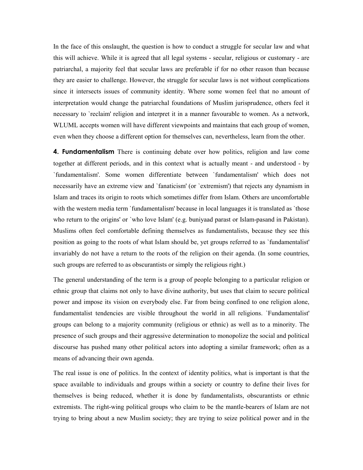In the face of this onslaught, the question is how to conduct a struggle for secular law and what this will achieve. While it is agreed that all legal systems - secular, religious or customary - are patriarchal, a majority feel that secular laws are preferable if for no other reason than because they are easier to challenge. However, the struggle for secular laws is not without complications since it intersects issues of community identity. Where some women feel that no amount of interpretation would change the patriarchal foundations of Muslim jurisprudence, others feel it necessary to `reclaim' religion and interpret it in a manner favourable to women. As a network, WLUML accepts women will have different viewpoints and maintains that each group of women, even when they choose a different option for themselves can, nevertheless, learn from the other.

**4. Fundamentalism** There is continuing debate over how politics, religion and law come together at different periods, and in this context what is actually meant - and understood - by `fundamentalism'. Some women differentiate between `fundamentalism' which does not necessarily have an extreme view and `fanaticism' (or `extremism') that rejects any dynamism in Islam and traces its origin to roots which sometimes differ from Islam. Others are uncomfortable with the western media term `fundamentalism' because in local languages it is translated as `those who return to the origins' or `who love Islam' (e.g. buniyaad parast or Islam-pasand in Pakistan). Muslims often feel comfortable defining themselves as fundamentalists, because they see this position as going to the roots of what Islam should be, yet groups referred to as `fundamentalist' invariably do not have a return to the roots of the religion on their agenda. (In some countries, such groups are referred to as obscurantists or simply the religious right.)

The general understanding of the term is a group of people belonging to a particular religion or ethnic group that claims not only to have divine authority, but uses that claim to secure political power and impose its vision on everybody else. Far from being confined to one religion alone, fundamentalist tendencies are visible throughout the world in all religions. `Fundamentalist' groups can belong to a majority community (religious or ethnic) as well as to a minority. The presence of such groups and their aggressive determination to monopolize the social and political discourse has pushed many other political actors into adopting a similar framework; often as a means of advancing their own agenda.

The real issue is one of politics. In the context of identity politics, what is important is that the space available to individuals and groups within a society or country to define their lives for themselves is being reduced, whether it is done by fundamentalists, obscurantists or ethnic extremists. The right-wing political groups who claim to be the mantle-bearers of Islam are not trying to bring about a new Muslim society; they are trying to seize political power and in the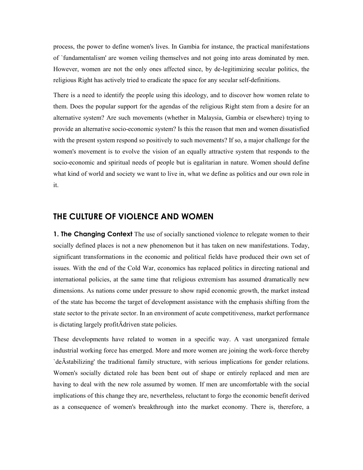process, the power to define women's lives. In Gambia for instance, the practical manifestations of `fundamentalism' are women veiling themselves and not going into areas dominated by men. However, women are not the only ones affected since, by de-legitimizing secular politics, the religious Right has actively tried to eradicate the space for any secular self-definitions.

There is a need to identify the people using this ideology, and to discover how women relate to them. Does the popular support for the agendas of the religious Right stem from a desire for an alternative system? Are such movements (whether in Malaysia, Gambia or elsewhere) trying to provide an alternative socio-economic system? Is this the reason that men and women dissatisfied with the present system respond so positively to such movements? If so, a major challenge for the women's movement is to evolve the vision of an equally attractive system that responds to the socio-economic and spiritual needs of people but is egalitarian in nature. Women should define what kind of world and society we want to live in, what we define as politics and our own role in it.

## THE CULTURE OF VIOLENCE AND WOMEN

**1. The Changing Context** The use of socially sanctioned violence to relegate women to their socially defined places is not a new phenomenon but it has taken on new manifestations. Today, significant transformations in the economic and political fields have produced their own set of issues. With the end of the Cold War, economics has replaced politics in directing national and international policies, at the same time that religious extremism has assumed dramatically new dimensions. As nations come under pressure to show rapid economic growth, the market instead of the state has become the target of development assistance with the emphasis shifting from the state sector to the private sector. In an environment of acute competitiveness, market performance is dictating largely profitÄdriven state policies.

These developments have related to women in a specific way. A vast unorganized female industrial working force has emerged. More and more women are joining the work-force thereby `deÄstabilizing' the traditional family structure, with serious implications for gender relations. Women's socially dictated role has been bent out of shape or entirely replaced and men are having to deal with the new role assumed by women. If men are uncomfortable with the social implications of this change they are, nevertheless, reluctant to forgo the economic benefit derived as a consequence of women's breakthrough into the market economy. There is, therefore, a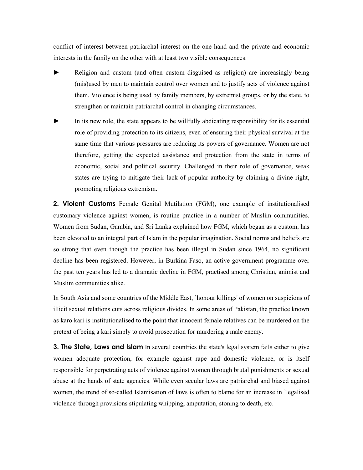conflict of interest between patriarchal interest on the one hand and the private and economic interests in the family on the other with at least two visible consequences:

- Religion and custom (and often custom disguised as religion) are increasingly being (mis)used by men to maintain control over women and to justify acts of violence against them. Violence is being used by family members, by extremist groups, or by the state, to strengthen or maintain patriarchal control in changing circumstances.
- In its new role, the state appears to be willfully abdicating responsibility for its essential role of providing protection to its citizens, even of ensuring their physical survival at the same time that various pressures are reducing its powers of governance. Women are not therefore, getting the expected assistance and protection from the state in terms of economic, social and political security. Challenged in their role of governance, weak states are trying to mitigate their lack of popular authority by claiming a divine right, promoting religious extremism.

**2. Violent Customs** Female Genital Mutilation (FGM), one example of institutionalised customary violence against women, is routine practice in a number of Muslim communities. Women from Sudan, Gambia, and Sri Lanka explained how FGM, which began as a custom, has been elevated to an integral part of Islam in the popular imagination. Social norms and beliefs are so strong that even though the practice has been illegal in Sudan since 1964, no significant decline has been registered. However, in Burkina Faso, an active government programme over the past ten years has led to a dramatic decline in FGM, practised among Christian, animist and Muslim communities alike.

In South Asia and some countries of the Middle East, `honour killings' of women on suspicions of illicit sexual relations cuts across religious divides. In some areas of Pakistan, the practice known as karo kari is institutionalised to the point that innocent female relatives can be murdered on the pretext of being a kari simply to avoid prosecution for murdering a male enemy.

3. The State, Laws and Islam In several countries the state's legal system fails either to give women adequate protection, for example against rape and domestic violence, or is itself responsible for perpetrating acts of violence against women through brutal punishments or sexual abuse at the hands of state agencies. While even secular laws are patriarchal and biased against women, the trend of so-called Islamisation of laws is often to blame for an increase in `legalised violence' through provisions stipulating whipping, amputation, stoning to death, etc.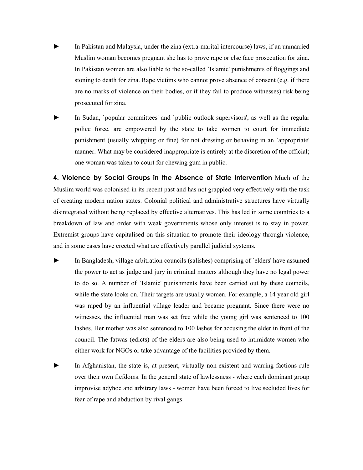- In Pakistan and Malaysia, under the zina (extra-marital intercourse) laws, if an unmarried Muslim woman becomes pregnant she has to prove rape or else face prosecution for zina. In Pakistan women are also liable to the so-called `Islamic' punishments of floggings and stoning to death for zina. Rape victims who cannot prove absence of consent (e.g. if there are no marks of violence on their bodies, or if they fail to produce witnesses) risk being prosecuted for zina.
- In Sudan, `popular committees' and `public outlook supervisors', as well as the regular police force, are empowered by the state to take women to court for immediate punishment (usually whipping or fine) for not dressing or behaving in an `appropriate' manner. What may be considered inappropriate is entirely at the discretion of the official; one woman was taken to court for chewing gum in public.

4. Violence by Social Groups in the Absence of State Intervention Much of the Muslim world was colonised in its recent past and has not grappled very effectively with the task of creating modern nation states. Colonial political and administrative structures have virtually disintegrated without being replaced by effective alternatives. This has led in some countries to a breakdown of law and order with weak governments whose only interest is to stay in power. Extremist groups have capitalised on this situation to promote their ideology through violence, and in some cases have erected what are effectively parallel judicial systems.

- In Bangladesh, village arbitration councils (salishes) comprising of `elders' have assumed the power to act as judge and jury in criminal matters although they have no legal power to do so. A number of `Islamic' punishments have been carried out by these councils, while the state looks on. Their targets are usually women. For example, a 14 year old girl was raped by an influential village leader and became pregnant. Since there were no witnesses, the influential man was set free while the young girl was sentenced to 100 lashes. Her mother was also sentenced to 100 lashes for accusing the elder in front of the council. The fatwas (edicts) of the elders are also being used to intimidate women who either work for NGOs or take advantage of the facilities provided by them.
- In Afghanistan, the state is, at present, virtually non-existent and warring factions rule over their own fiefdoms. In the general state of lawlessness - where each dominant group improvise adÿhoc and arbitrary laws - women have been forced to live secluded lives for fear of rape and abduction by rival gangs.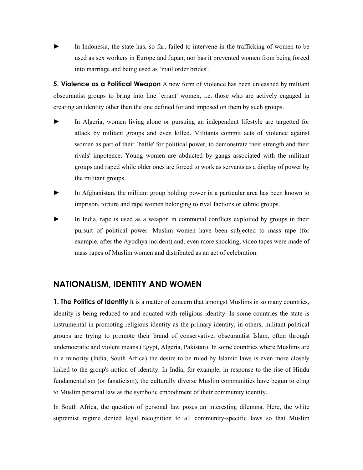In Indonesia, the state has, so far, failed to intervene in the trafficking of women to be used as sex workers in Europe and Japan, nor has it prevented women from being forced into marriage and being used as `mail order brides'.

**5. Violence as a Political Weapon** A new form of violence has been unleashed by militant obscurantist groups to bring into line `errant' women, i.e. those who are actively engaged in creating an identity other than the one defined for and imposed on them by such groups.

- In Algeria, women living alone or pursuing an independent lifestyle are targetted for attack by militant groups and even killed. Militants commit acts of violence against women as part of their `battle' for political power, to demonstrate their strength and their rivals' impotence. Young women are abducted by gangs associated with the militant groups and raped while older ones are forced to work as servants as a display of power by the militant groups.
- ► In Afghanistan, the militant group holding power in a particular area has been known to imprison, torture and rape women belonging to rival factions or ethnic groups.
- In India, rape is used as a weapon in communal conflicts exploited by groups in their pursuit of political power. Muslim women have been subjected to mass rape (for example, after the Ayodhya incident) and, even more shocking, video tapes were made of mass rapes of Muslim women and distributed as an act of celebration.

#### NATIONALISM, IDENTITY AND WOMEN

**1. The Politics of Identity** It is a matter of concern that amongst Muslims in so many countries, identity is being reduced to and equated with religious identity. In some countries the state is instrumental in promoting religious identity as the primary identity, in others, militant political groups are trying to promote their brand of conservative, obscurantist Islam, often through undemocratic and violent means (Egypt, Algeria, Pakistan). In some countries where Muslims are in a minority (India, South Africa) the desire to be ruled by Islamic laws is even more closely linked to the group's notion of identity. In India, for example, in response to the rise of Hindu fundamentalism (or fanaticism), the culturally diverse Muslim communities have begun to cling to Muslim personal law as the symbolic embodiment of their community identity.

In South Africa, the question of personal law poses an interesting dilemma. Here, the white supremist regime denied legal recognition to all community-specific laws so that Muslim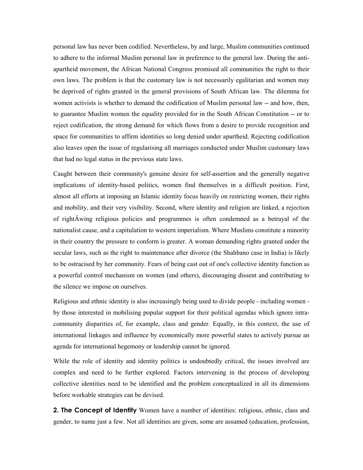personal law has never been codified. Nevertheless, by and large, Muslim communities continued to adhere to the informal Muslim personal law in preference to the general law. During the antiapartheid movement, the African National Congress promised all communities the right to their own laws. The problem is that the customary law is not necessarily egalitarian and women may be deprived of rights granted in the general provisions of South African law. The dilemma for women activists is whether to demand the codification of Muslim personal law -- and how, then, to guarantee Muslim women the equality provided for in the South African Constitution -- or to reject codification, the strong demand for which flows from a desire to provide recognition and space for communities to affirm identities so long denied under apartheid. Rejecting codification also leaves open the issue of regularising all marriages conducted under Muslim customary laws that had no legal status in the previous state laws.

Caught between their community's genuine desire for self-assertion and the generally negative implications of identity-based politics, women find themselves in a difficult position. First, almost all efforts at imposing an Islamic identity focus heavily on restricting women, their rights and mobility, and their very visibility. Second, where identity and religion are linked, a rejection of rightÄwing religious policies and programmes is often condemned as a betrayal of the nationalist cause, and a capitulation to western imperialism. Where Muslims constitute a minority in their country the pressure to conform is greater. A woman demanding rights granted under the secular laws, such as the right to maintenance after divorce (the Shahbano case in India) is likely to be ostracised by her community. Fears of being cast out of one's collective identity function as a powerful control mechanism on women (and others), discouraging dissent and contributing to the silence we impose on ourselves.

Religious and ethnic identity is also increasingly being used to divide people - including women by those interested in mobilising popular support for their political agendas which ignore intracommunity disparities of, for example, class and gender. Equally, in this context, the use of international linkages and influence by economically more powerful states to actively pursue an agenda for international hegemony or leadership cannot be ignored.

While the role of identity and identity politics is undoubtedly critical, the issues involved are complex and need to be further explored. Factors intervening in the process of developing collective identities need to be identified and the problem conceptualized in all its dimensions before workable strategies can be devised.

**2. The Concept of Identity** Women have a number of identities: religious, ethnic, class and gender, to name just a few. Not all identities are given, some are assumed (education, profession,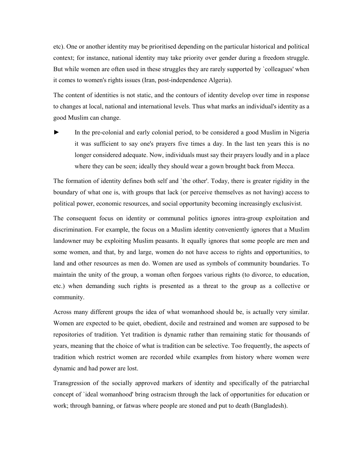etc). One or another identity may be prioritised depending on the particular historical and political context; for instance, national identity may take priority over gender during a freedom struggle. But while women are often used in these struggles they are rarely supported by `colleagues' when it comes to women's rights issues (Iran, post-independence Algeria).

The content of identities is not static, and the contours of identity develop over time in response to changes at local, national and international levels. Thus what marks an individual's identity as a good Muslim can change.

In the pre-colonial and early colonial period, to be considered a good Muslim in Nigeria it was sufficient to say one's prayers five times a day. In the last ten years this is no longer considered adequate. Now, individuals must say their prayers loudly and in a place where they can be seen; ideally they should wear a gown brought back from Mecca.

The formation of identity defines both self and `the other'. Today, there is greater rigidity in the boundary of what one is, with groups that lack (or perceive themselves as not having) access to political power, economic resources, and social opportunity becoming increasingly exclusivist.

The consequent focus on identity or communal politics ignores intra-group exploitation and discrimination. For example, the focus on a Muslim identity conveniently ignores that a Muslim landowner may be exploiting Muslim peasants. It equally ignores that some people are men and some women, and that, by and large, women do not have access to rights and opportunities, to land and other resources as men do. Women are used as symbols of community boundaries. To maintain the unity of the group, a woman often forgoes various rights (to divorce, to education, etc.) when demanding such rights is presented as a threat to the group as a collective or community.

Across many different groups the idea of what womanhood should be, is actually very similar. Women are expected to be quiet, obedient, docile and restrained and women are supposed to be repositories of tradition. Yet tradition is dynamic rather than remaining static for thousands of years, meaning that the choice of what is tradition can be selective. Too frequently, the aspects of tradition which restrict women are recorded while examples from history where women were dynamic and had power are lost.

Transgression of the socially approved markers of identity and specifically of the patriarchal concept of `ideal womanhood' bring ostracism through the lack of opportunities for education or work; through banning, or fatwas where people are stoned and put to death (Bangladesh).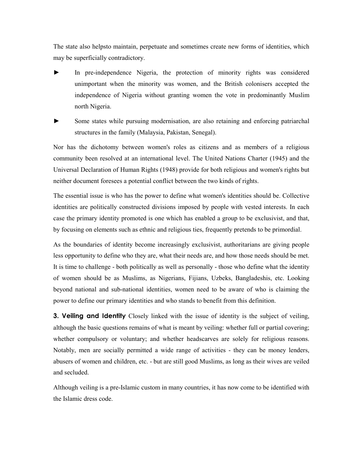The state also helpsto maintain, perpetuate and sometimes create new forms of identities, which may be superficially contradictory.

- In pre-independence Nigeria, the protection of minority rights was considered unimportant when the minority was women, and the British colonisers accepted the independence of Nigeria without granting women the vote in predominantly Muslim north Nigeria.
- Some states while pursuing modernisation, are also retaining and enforcing patriarchal structures in the family (Malaysia, Pakistan, Senegal).

Nor has the dichotomy between women's roles as citizens and as members of a religious community been resolved at an international level. The United Nations Charter (1945) and the Universal Declaration of Human Rights (1948) provide for both religious and women's rights but neither document foresees a potential conflict between the two kinds of rights.

The essential issue is who has the power to define what women's identities should be. Collective identities are politically constructed divisions imposed by people with vested interests. In each case the primary identity promoted is one which has enabled a group to be exclusivist, and that, by focusing on elements such as ethnic and religious ties, frequently pretends to be primordial.

As the boundaries of identity become increasingly exclusivist, authoritarians are giving people less opportunity to define who they are, what their needs are, and how those needs should be met. It is time to challenge - both politically as well as personally - those who define what the identity of women should be as Muslims, as Nigerians, Fijians, Uzbeks, Bangladeshis, etc. Looking beyond national and sub-national identities, women need to be aware of who is claiming the power to define our primary identities and who stands to benefit from this definition.

**3. Veiling and Identity** Closely linked with the issue of identity is the subject of veiling, although the basic questions remains of what is meant by veiling: whether full or partial covering; whether compulsory or voluntary; and whether headscarves are solely for religious reasons. Notably, men are socially permitted a wide range of activities - they can be money lenders, abusers of women and children, etc. - but are still good Muslims, as long as their wives are veiled and secluded.

Although veiling is a pre-Islamic custom in many countries, it has now come to be identified with the Islamic dress code.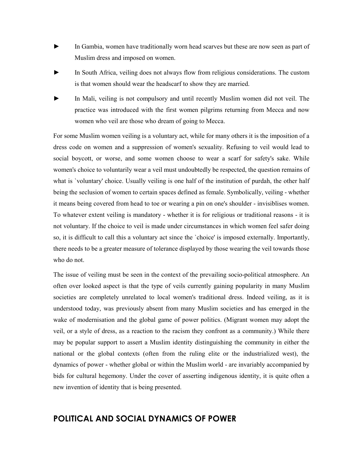- In Gambia, women have traditionally worn head scarves but these are now seen as part of Muslim dress and imposed on women.
- In South Africa, veiling does not always flow from religious considerations. The custom is that women should wear the headscarf to show they are married.
- In Mali, veiling is not compulsory and until recently Muslim women did not veil. The practice was introduced with the first women pilgrims returning from Mecca and now women who veil are those who dream of going to Mecca.

For some Muslim women veiling is a voluntary act, while for many others it is the imposition of a dress code on women and a suppression of women's sexuality. Refusing to veil would lead to social boycott, or worse, and some women choose to wear a scarf for safety's sake. While women's choice to voluntarily wear a veil must undoubtedly be respected, the question remains of what is `voluntary' choice. Usually veiling is one half of the institution of purdah, the other half being the seclusion of women to certain spaces defined as female. Symbolically, veiling - whether it means being covered from head to toe or wearing a pin on one's shoulder - invisiblises women. To whatever extent veiling is mandatory - whether it is for religious or traditional reasons - it is not voluntary. If the choice to veil is made under circumstances in which women feel safer doing so, it is difficult to call this a voluntary act since the `choice' is imposed externally. Importantly, there needs to be a greater measure of tolerance displayed by those wearing the veil towards those who do not.

The issue of veiling must be seen in the context of the prevailing socio-political atmosphere. An often over looked aspect is that the type of veils currently gaining popularity in many Muslim societies are completely unrelated to local women's traditional dress. Indeed veiling, as it is understood today, was previously absent from many Muslim societies and has emerged in the wake of modernisation and the global game of power politics. (Migrant women may adopt the veil, or a style of dress, as a reaction to the racism they confront as a community.) While there may be popular support to assert a Muslim identity distinguishing the community in either the national or the global contexts (often from the ruling elite or the industrialized west), the dynamics of power - whether global or within the Muslim world - are invariably accompanied by bids for cultural hegemony. Under the cover of asserting indigenous identity, it is quite often a new invention of identity that is being presented.

# POLITICAL AND SOCIAL DYNAMICS OF POWER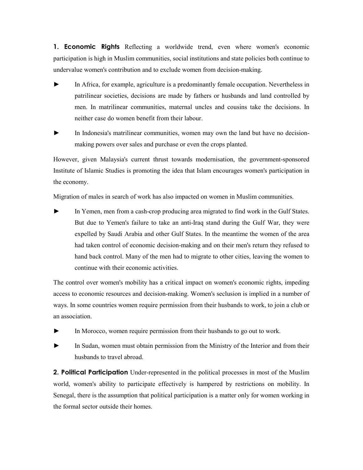**1. Economic Rights** Reflecting a worldwide trend, even where women's economic participation is high in Muslim communities, social institutions and state policies both continue to undervalue women's contribution and to exclude women from decision-making.

- In Africa, for example, agriculture is a predominantly female occupation. Nevertheless in patrilinear societies, decisions are made by fathers or husbands and land controlled by men. In matrilinear communities, maternal uncles and cousins take the decisions. In neither case do women benefit from their labour.
- In Indonesia's matrilinear communities, women may own the land but have no decisionmaking powers over sales and purchase or even the crops planted.

However, given Malaysia's current thrust towards modernisation, the government-sponsored Institute of Islamic Studies is promoting the idea that Islam encourages women's participation in the economy.

Migration of males in search of work has also impacted on women in Muslim communities.

In Yemen, men from a cash-crop producing area migrated to find work in the Gulf States. But due to Yemen's failure to take an anti-Iraq stand during the Gulf War, they were expelled by Saudi Arabia and other Gulf States. In the meantime the women of the area had taken control of economic decision-making and on their men's return they refused to hand back control. Many of the men had to migrate to other cities, leaving the women to continue with their economic activities.

The control over women's mobility has a critical impact on women's economic rights, impeding access to economic resources and decision-making. Women's seclusion is implied in a number of ways. In some countries women require permission from their husbands to work, to join a club or an association.

- ► In Morocco, women require permission from their husbands to go out to work.
- In Sudan, women must obtain permission from the Ministry of the Interior and from their husbands to travel abroad.

**2. Political Participation** Under-represented in the political processes in most of the Muslim world, women's ability to participate effectively is hampered by restrictions on mobility. In Senegal, there is the assumption that political participation is a matter only for women working in the formal sector outside their homes.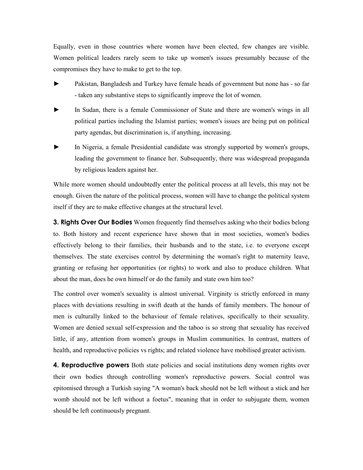Equally, even in those countries where women have been elected, few changes are visible. Women political leaders rarely seem to take up women's issues presumably because of the compromises they have to make to get to the top.

- Pakistan, Bangladesh and Turkey have female heads of government but none has so far - taken any substantive steps to significantly improve the lot of women.
- In Sudan, there is a female Commissioner of State and there are women's wings in all political parties including the Islamist parties; women's issues are being put on political party agendas, but discrimination is, if anything, increasing.
- In Nigeria, a female Presidential candidate was strongly supported by women's groups, leading the government to finance her. Subsequently, there was widespread propaganda by religious leaders against her.

While more women should undoubtedly enter the political process at all levels, this may not be enough. Given the nature of the political process, women will have to change the political system itself if they are to make effective changes at the structural level.

**3. Rights Over Our Bodies** Women frequently find themselves asking who their bodies belong to. Both history and recent experience have shown that in most societies, women's bodies effectively belong to their families, their husbands and to the state, i.e. to everyone except themselves. The state exercises control by determining the woman's right to maternity leave, granting or refusing her opportunities (or rights) to work and also to produce children. What about the man, does he own himself or do the family and state own him too?

The control over women's sexuality is almost universal. Virginity is strictly enforced in many places with deviations resulting in swift death at the hands of family members. The honour of men is culturally linked to the behaviour of female relatives, specifically to their sexuality. Women are denied sexual self-expression and the taboo is so strong that sexuality has received little, if any, attention from women's groups in Muslim communities. In contrast, matters of health, and reproductive policies vs rights; and related violence have mobilised greater activism.

4. Reproductive powers Both state policies and social institutions deny women rights over their own bodies through controlling women's reproductive powers. Social control was epitomised through a Turkish saying "A woman's back should not be left without a stick and her womb should not be left without a foetus", meaning that in order to subjugate them, women should be left continuously pregnant.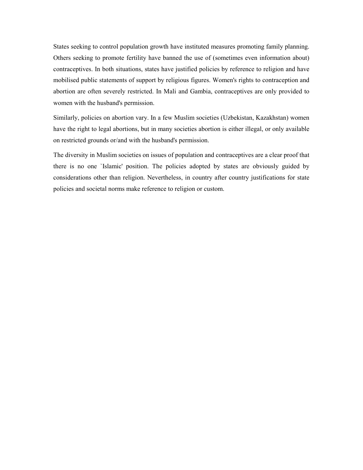States seeking to control population growth have instituted measures promoting family planning. Others seeking to promote fertility have banned the use of (sometimes even information about) contraceptives. In both situations, states have justified policies by reference to religion and have mobilised public statements of support by religious figures. Women's rights to contraception and abortion are often severely restricted. In Mali and Gambia, contraceptives are only provided to women with the husband's permission.

Similarly, policies on abortion vary. In a few Muslim societies (Uzbekistan, Kazakhstan) women have the right to legal abortions, but in many societies abortion is either illegal, or only available on restricted grounds or/and with the husband's permission.

The diversity in Muslim societies on issues of population and contraceptives are a clear proof that there is no one `Islamic' position. The policies adopted by states are obviously guided by considerations other than religion. Nevertheless, in country after country justifications for state policies and societal norms make reference to religion or custom.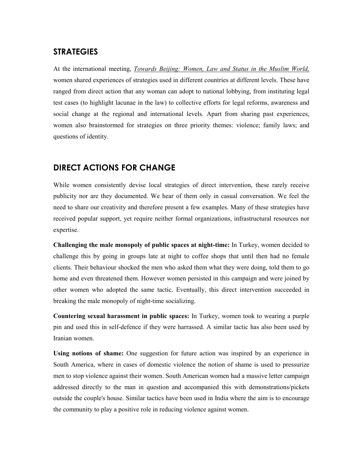# **STRATEGIES**

At the international meeting, Towards Beijing: Women, Law and Status in the Muslim World, women shared experiences of strategies used in different countries at different levels. These have ranged from direct action that any woman can adopt to national lobbying, from instituting legal test cases (to highlight lacunae in the law) to collective efforts for legal reforms, awareness and social change at the regional and international levels. Apart from sharing past experiences, women also brainstormed for strategies on three priority themes: violence; family laws; and questions of identity.

# DIRECT ACTIONS FOR CHANGE

While women consistently devise local strategies of direct intervention, these rarely receive publicity nor are they documented. We hear of them only in casual conversation. We feel the need to share our creativity and therefore present a few examples. Many of these strategies have received popular support, yet require neither formal organizations, infrastructural resources nor expertise.

Challenging the male monopoly of public spaces at night-time: In Turkey, women decided to challenge this by going in groups late at night to coffee shops that until then had no female clients. Their behaviour shocked the men who asked them what they were doing, told them to go home and even threatened them. However women persisted in this campaign and were joined by other women who adopted the same tactic. Eventually, this direct intervention succeeded in breaking the male monopoly of night-time socializing.

Countering sexual harassment in public spaces: In Turkey, women took to wearing a purple pin and used this in self-defence if they were harrassed. A similar tactic has also been used by Iranian women.

Using notions of shame: One suggestion for future action was inspired by an experience in South America, where in cases of domestic violence the notion of shame is used to pressurize men to stop violence against their women. South American women had a massive letter campaign addressed directly to the man in question and accompanied this with demonstrations/pickets outside the couple's house. Similar tactics have been used in India where the aim is to encourage the community to play a positive role in reducing violence against women.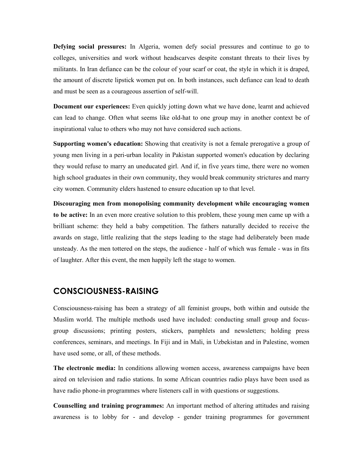Defying social pressures: In Algeria, women defy social pressures and continue to go to colleges, universities and work without headscarves despite constant threats to their lives by militants. In Iran defiance can be the colour of your scarf or coat, the style in which it is draped, the amount of discrete lipstick women put on. In both instances, such defiance can lead to death and must be seen as a courageous assertion of self-will.

Document our experiences: Even quickly jotting down what we have done, learnt and achieved can lead to change. Often what seems like old-hat to one group may in another context be of inspirational value to others who may not have considered such actions.

Supporting women's education: Showing that creativity is not a female prerogative a group of young men living in a peri-urban locality in Pakistan supported women's education by declaring they would refuse to marry an uneducated girl. And if, in five years time, there were no women high school graduates in their own community, they would break community strictures and marry city women. Community elders hastened to ensure education up to that level.

Discouraging men from monopolising community development while encouraging women to be active: In an even more creative solution to this problem, these young men came up with a brilliant scheme: they held a baby competition. The fathers naturally decided to receive the awards on stage, little realizing that the steps leading to the stage had deliberately been made unsteady. As the men tottered on the steps, the audience - half of which was female - was in fits of laughter. After this event, the men happily left the stage to women.

#### CONSCIOUSNESS-RAISING

Consciousness-raising has been a strategy of all feminist groups, both within and outside the Muslim world. The multiple methods used have included: conducting small group and focusgroup discussions; printing posters, stickers, pamphlets and newsletters; holding press conferences, seminars, and meetings. In Fiji and in Mali, in Uzbekistan and in Palestine, women have used some, or all, of these methods.

The electronic media: In conditions allowing women access, awareness campaigns have been aired on television and radio stations. In some African countries radio plays have been used as have radio phone-in programmes where listeners call in with questions or suggestions.

Counselling and training programmes: An important method of altering attitudes and raising awareness is to lobby for - and develop - gender training programmes for government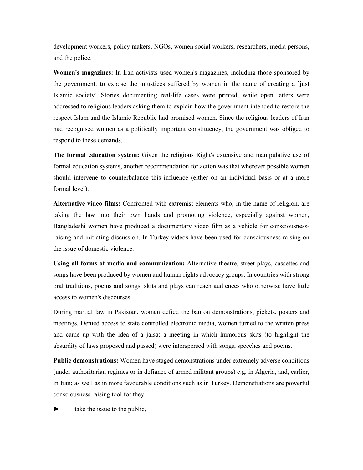development workers, policy makers, NGOs, women social workers, researchers, media persons, and the police.

Women's magazines: In Iran activists used women's magazines, including those sponsored by the government, to expose the injustices suffered by women in the name of creating a `just Islamic society'. Stories documenting real-life cases were printed, while open letters were addressed to religious leaders asking them to explain how the government intended to restore the respect Islam and the Islamic Republic had promised women. Since the religious leaders of Iran had recognised women as a politically important constituency, the government was obliged to respond to these demands.

The formal education system: Given the religious Right's extensive and manipulative use of formal education systems, another recommendation for action was that wherever possible women should intervene to counterbalance this influence (either on an individual basis or at a more formal level).

Alternative video films: Confronted with extremist elements who, in the name of religion, are taking the law into their own hands and promoting violence, especially against women, Bangladeshi women have produced a documentary video film as a vehicle for consciousnessraising and initiating discussion. In Turkey videos have been used for consciousness-raising on the issue of domestic violence.

Using all forms of media and communication: Alternative theatre, street plays, cassettes and songs have been produced by women and human rights advocacy groups. In countries with strong oral traditions, poems and songs, skits and plays can reach audiences who otherwise have little access to women's discourses.

During martial law in Pakistan, women defied the ban on demonstrations, pickets, posters and meetings. Denied access to state controlled electronic media, women turned to the written press and came up with the idea of a jalsa: a meeting in which humorous skits (to highlight the absurdity of laws proposed and passed) were interspersed with songs, speeches and poems.

Public demonstrations: Women have staged demonstrations under extremely adverse conditions (under authoritarian regimes or in defiance of armed militant groups) e.g. in Algeria, and, earlier, in Iran; as well as in more favourable conditions such as in Turkey. Demonstrations are powerful consciousness raising tool for they:

take the issue to the public,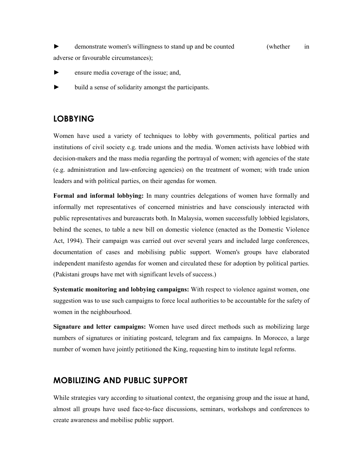► demonstrate women's willingness to stand up and be counted (whether in adverse or favourable circumstances);

- ensure media coverage of the issue; and,
- ► build a sense of solidarity amongst the participants.

## LOBBYING

Women have used a variety of techniques to lobby with governments, political parties and institutions of civil society e.g. trade unions and the media. Women activists have lobbied with decision-makers and the mass media regarding the portrayal of women; with agencies of the state (e.g. administration and law-enforcing agencies) on the treatment of women; with trade union leaders and with political parties, on their agendas for women.

Formal and informal lobbying: In many countries delegations of women have formally and informally met representatives of concerned ministries and have consciously interacted with public representatives and bureaucrats both. In Malaysia, women successfully lobbied legislators, behind the scenes, to table a new bill on domestic violence (enacted as the Domestic Violence Act, 1994). Their campaign was carried out over several years and included large conferences, documentation of cases and mobilising public support. Women's groups have elaborated independent manifesto agendas for women and circulated these for adoption by political parties. (Pakistani groups have met with significant levels of success.)

Systematic monitoring and lobbying campaigns: With respect to violence against women, one suggestion was to use such campaigns to force local authorities to be accountable for the safety of women in the neighbourhood.

Signature and letter campaigns: Women have used direct methods such as mobilizing large numbers of signatures or initiating postcard, telegram and fax campaigns. In Morocco, a large number of women have jointly petitioned the King, requesting him to institute legal reforms.

# MOBILIZING AND PUBLIC SUPPORT

While strategies vary according to situational context, the organising group and the issue at hand, almost all groups have used face-to-face discussions, seminars, workshops and conferences to create awareness and mobilise public support.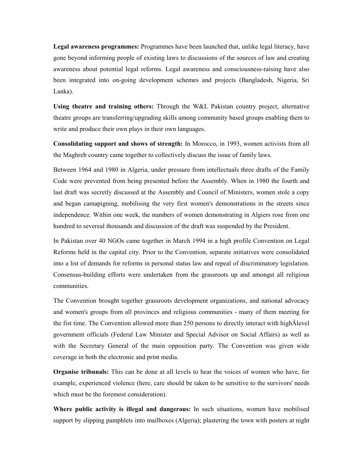Legal awareness programmes: Programmes have been launched that, unlike legal literacy, have gone beyond informing people of existing laws to discussions of the sources of law and creating awareness about potential legal reforms. Legal awareness and consciousness-raising have also been integrated into on-going development schemes and projects (Bangladesh, Nigeria, Sri Lanka).

Using theatre and training others: Through the W&L Pakistan country project, alternative theatre groups are transferring/upgrading skills among community based groups enabling them to write and produce their own plays in their own languages.

Consolidating support and shows of strength: In Morocco, in 1993, women activists from all the Maghreb country came together to collectively discuss the issue of family laws.

Between 1964 and 1980 in Algeria, under pressure from intellectuals three drafts of the Family Code were prevented from being presented before the Assembly. When in 1980 the fourth and last draft was secretly discussed at the Assembly and Council of Ministers, women stole a copy and began camapigning, mobilising the very first women's demonstrations in the streets since independence. Within one week, the numbers of women demonstrating in Algiers rose from one hundred to severeal thousands and discussion of the draft was suspended by the President.

In Pakistan over 40 NGOs came together in March 1994 in a high profile Convention on Legal Reforms held in the capital city. Prior to the Convention, separate initiatives were consolidated into a list of demands for reforms in personal status law and repeal of discriminatory legislation. Consensus-building efforts were undertaken from the grassroots up and amongst all religious communities.

The Convention brought together grassroots development organizations, and national advocacy and women's groups from all provinces and religious communities - many of them meeting for the fist time. The Convention allowed more than 250 persons to directly interact with highÄlevel government officials (Federal Law Minister and Special Advisor on Social Affairs) as well as with the Secretary General of the main opposition party. The Convention was given wide coverage in both the electronic and print media.

Organise tribunals: This can be done at all levels to hear the voices of women who have, for example, experienced violence (here, care should be taken to be sensitive to the survivors' needs which must be the foremost consideration).

Where public activity is illegal and dangerous: In such situations, women have mobilised support by slipping pamphlets into mailboxes (Algeria); plastering the town with posters at night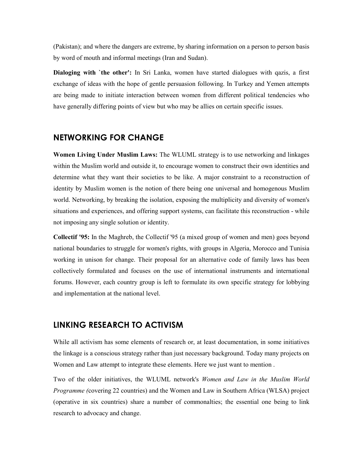(Pakistan); and where the dangers are extreme, by sharing information on a person to person basis by word of mouth and informal meetings (Iran and Sudan).

Dialoging with `the other': In Sri Lanka, women have started dialogues with qazis, a first exchange of ideas with the hope of gentle persuasion following. In Turkey and Yemen attempts are being made to initiate interaction between women from different political tendencies who have generally differing points of view but who may be allies on certain specific issues.

#### NETWORKING FOR CHANGE

Women Living Under Muslim Laws: The WLUML strategy is to use networking and linkages within the Muslim world and outside it, to encourage women to construct their own identities and determine what they want their societies to be like. A major constraint to a reconstruction of identity by Muslim women is the notion of there being one universal and homogenous Muslim world. Networking, by breaking the isolation, exposing the multiplicity and diversity of women's situations and experiences, and offering support systems, can facilitate this reconstruction - while not imposing any single solution or identity.

Collectif '95: In the Maghreb, the Collectif '95 (a mixed group of women and men) goes beyond national boundaries to struggle for women's rights, with groups in Algeria, Morocco and Tunisia working in unison for change. Their proposal for an alternative code of family laws has been collectively formulated and focuses on the use of international instruments and international forums. However, each country group is left to formulate its own specific strategy for lobbying and implementation at the national level.

#### LINKING RESEARCH TO ACTIVISM

While all activism has some elements of research or, at least documentation, in some initiatives the linkage is a conscious strategy rather than just necessary background. Today many projects on Women and Law attempt to integrate these elements. Here we just want to mention .

Two of the older initiatives, the WLUML network's Women and Law in the Muslim World Programme (covering 22 countries) and the Women and Law in Southern Africa (WLSA) project (operative in six countries) share a number of commonalties; the essential one being to link research to advocacy and change.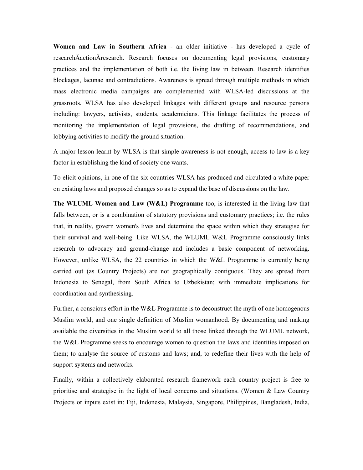Women and Law in Southern Africa - an older initiative - has developed a cycle of researchÄactionÄresearch. Research focuses on documenting legal provisions, customary practices and the implementation of both i.e. the living law in between. Research identifies blockages, lacunae and contradictions. Awareness is spread through multiple methods in which mass electronic media campaigns are complemented with WLSA-led discussions at the grassroots. WLSA has also developed linkages with different groups and resource persons including: lawyers, activists, students, academicians. This linkage facilitates the process of monitoring the implementation of legal provisions, the drafting of recommendations, and lobbying activities to modify the ground situation.

A major lesson learnt by WLSA is that simple awareness is not enough, access to law is a key factor in establishing the kind of society one wants.

To elicit opinions, in one of the six countries WLSA has produced and circulated a white paper on existing laws and proposed changes so as to expand the base of discussions on the law.

The WLUML Women and Law (W&L) Programme too, is interested in the living law that falls between, or is a combination of statutory provisions and customary practices; i.e. the rules that, in reality, govern women's lives and determine the space within which they strategise for their survival and well-being. Like WLSA, the WLUML W&L Programme consciously links research to advocacy and ground-change and includes a basic component of networking. However, unlike WLSA, the 22 countries in which the W&L Programme is currently being carried out (as Country Projects) are not geographically contiguous. They are spread from Indonesia to Senegal, from South Africa to Uzbekistan; with immediate implications for coordination and synthesising.

Further, a conscious effort in the W&L Programme is to deconstruct the myth of one homogenous Muslim world, and one single definition of Muslim womanhood. By documenting and making available the diversities in the Muslim world to all those linked through the WLUML network, the W&L Programme seeks to encourage women to question the laws and identities imposed on them; to analyse the source of customs and laws; and, to redefine their lives with the help of support systems and networks.

Finally, within a collectively elaborated research framework each country project is free to prioritise and strategise in the light of local concerns and situations. (Women & Law Country Projects or inputs exist in: Fiji, Indonesia, Malaysia, Singapore, Philippines, Bangladesh, India,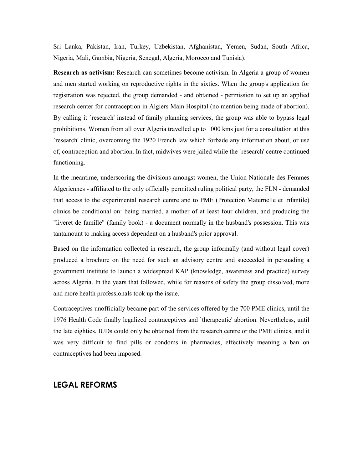Sri Lanka, Pakistan, Iran, Turkey, Uzbekistan, Afghanistan, Yemen, Sudan, South Africa, Nigeria, Mali, Gambia, Nigeria, Senegal, Algeria, Morocco and Tunisia).

Research as activism: Research can sometimes become activism. In Algeria a group of women and men started working on reproductive rights in the sixties. When the group's application for registration was rejected, the group demanded - and obtained - permission to set up an applied research center for contraception in Algiers Main Hospital (no mention being made of abortion). By calling it `research' instead of family planning services, the group was able to bypass legal prohibitions. Women from all over Algeria travelled up to 1000 kms just for a consultation at this `research' clinic, overcoming the 1920 French law which forbade any information about, or use of, contraception and abortion. In fact, midwives were jailed while the `research' centre continued functioning.

In the meantime, underscoring the divisions amongst women, the Union Nationale des Femmes Algeriennes - affiliated to the only officially permitted ruling political party, the FLN - demanded that access to the experimental research centre and to PME (Protection Maternelle et Infantile) clinics be conditional on: being married, a mother of at least four children, and producing the "liveret de famille" (family book) - a document normally in the husband's possession. This was tantamount to making access dependent on a husband's prior approval.

Based on the information collected in research, the group informally (and without legal cover) produced a brochure on the need for such an advisory centre and succeeded in persuading a government institute to launch a widespread KAP (knowledge, awareness and practice) survey across Algeria. In the years that followed, while for reasons of safety the group dissolved, more and more health professionals took up the issue.

Contraceptives unofficially became part of the services offered by the 700 PME clinics, until the 1976 Health Code finally legalized contraceptives and `therapeutic' abortion. Nevertheless, until the late eighties, IUDs could only be obtained from the research centre or the PME clinics, and it was very difficult to find pills or condoms in pharmacies, effectively meaning a ban on contraceptives had been imposed.

#### LEGAL REFORMS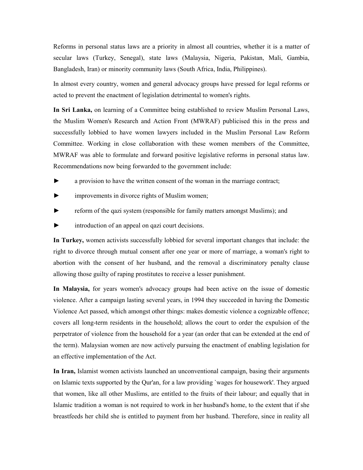Reforms in personal status laws are a priority in almost all countries, whether it is a matter of secular laws (Turkey, Senegal), state laws (Malaysia, Nigeria, Pakistan, Mali, Gambia, Bangladesh, Iran) or minority community laws (South Africa, India, Philippines).

In almost every country, women and general advocacy groups have pressed for legal reforms or acted to prevent the enactment of legislation detrimental to women's rights.

In Sri Lanka, on learning of a Committee being established to review Muslim Personal Laws, the Muslim Women's Research and Action Front (MWRAF) publicised this in the press and successfully lobbied to have women lawyers included in the Muslim Personal Law Reform Committee. Working in close collaboration with these women members of the Committee, MWRAF was able to formulate and forward positive legislative reforms in personal status law. Recommendations now being forwarded to the government include:

- ► a provision to have the written consent of the woman in the marriage contract;
- improvements in divorce rights of Muslim women;
- reform of the qazi system (responsible for family matters amongst Muslims); and
- introduction of an appeal on qazi court decisions.

In Turkey, women activists successfully lobbied for several important changes that include: the right to divorce through mutual consent after one year or more of marriage, a woman's right to abortion with the consent of her husband, and the removal a discriminatory penalty clause allowing those guilty of raping prostitutes to receive a lesser punishment.

In Malaysia, for years women's advocacy groups had been active on the issue of domestic violence. After a campaign lasting several years, in 1994 they succeeded in having the Domestic Violence Act passed, which amongst other things: makes domestic violence a cognizable offence; covers all long-term residents in the household; allows the court to order the expulsion of the perpetrator of violence from the household for a year (an order that can be extended at the end of the term). Malaysian women are now actively pursuing the enactment of enabling legislation for an effective implementation of the Act.

In Iran, Islamist women activists launched an unconventional campaign, basing their arguments on Islamic texts supported by the Qur'an, for a law providing `wages for housework'. They argued that women, like all other Muslims, are entitled to the fruits of their labour; and equally that in Islamic tradition a woman is not required to work in her husband's home, to the extent that if she breastfeeds her child she is entitled to payment from her husband. Therefore, since in reality all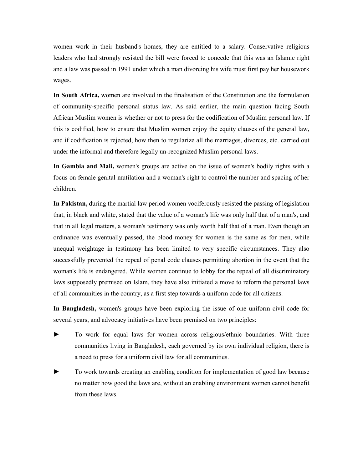women work in their husband's homes, they are entitled to a salary. Conservative religious leaders who had strongly resisted the bill were forced to concede that this was an Islamic right and a law was passed in 1991 under which a man divorcing his wife must first pay her housework wages.

In South Africa, women are involved in the finalisation of the Constitution and the formulation of community-specific personal status law. As said earlier, the main question facing South African Muslim women is whether or not to press for the codification of Muslim personal law. If this is codified, how to ensure that Muslim women enjoy the equity clauses of the general law, and if codification is rejected, how then to regularize all the marriages, divorces, etc. carried out under the informal and therefore legally un-recognized Muslim personal laws.

In Gambia and Mali, women's groups are active on the issue of women's bodily rights with a focus on female genital mutilation and a woman's right to control the number and spacing of her children.

In Pakistan, during the martial law period women vociferously resisted the passing of legislation that, in black and white, stated that the value of a woman's life was only half that of a man's, and that in all legal matters, a woman's testimony was only worth half that of a man. Even though an ordinance was eventually passed, the blood money for women is the same as for men, while unequal weightage in testimony has been limited to very specific circumstances. They also successfully prevented the repeal of penal code clauses permitting abortion in the event that the woman's life is endangered. While women continue to lobby for the repeal of all discriminatory laws supposedly premised on Islam, they have also initiated a move to reform the personal laws of all communities in the country, as a first step towards a uniform code for all citizens.

In Bangladesh, women's groups have been exploring the issue of one uniform civil code for several years, and advocacy initiatives have been premised on two principles:

- ► To work for equal laws for women across religious/ethnic boundaries. With three communities living in Bangladesh, each governed by its own individual religion, there is a need to press for a uniform civil law for all communities.
- To work towards creating an enabling condition for implementation of good law because no matter how good the laws are, without an enabling environment women cannot benefit from these laws.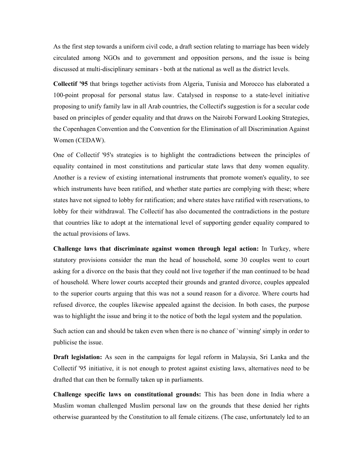As the first step towards a uniform civil code, a draft section relating to marriage has been widely circulated among NGOs and to government and opposition persons, and the issue is being discussed at multi-disciplinary seminars - both at the national as well as the district levels.

Collectif '95 that brings together activists from Algeria, Tunisia and Morocco has elaborated a 100-point proposal for personal status law. Catalysed in response to a state-level initiative proposing to unify family law in all Arab countries, the Collectif's suggestion is for a secular code based on principles of gender equality and that draws on the Nairobi Forward Looking Strategies, the Copenhagen Convention and the Convention for the Elimination of all Discrimination Against Women (CEDAW).

One of Collectif '95's strategies is to highlight the contradictions between the principles of equality contained in most constitutions and particular state laws that deny women equality. Another is a review of existing international instruments that promote women's equality, to see which instruments have been ratified, and whether state parties are complying with these; where states have not signed to lobby for ratification; and where states have ratified with reservations, to lobby for their withdrawal. The Collectif has also documented the contradictions in the posture that countries like to adopt at the international level of supporting gender equality compared to the actual provisions of laws.

Challenge laws that discriminate against women through legal action: In Turkey, where statutory provisions consider the man the head of household, some 30 couples went to court asking for a divorce on the basis that they could not live together if the man continued to be head of household. Where lower courts accepted their grounds and granted divorce, couples appealed to the superior courts arguing that this was not a sound reason for a divorce. Where courts had refused divorce, the couples likewise appealed against the decision. In both cases, the purpose was to highlight the issue and bring it to the notice of both the legal system and the population.

Such action can and should be taken even when there is no chance of `winning' simply in order to publicise the issue.

Draft legislation: As seen in the campaigns for legal reform in Malaysia, Sri Lanka and the Collectif '95 initiative, it is not enough to protest against existing laws, alternatives need to be drafted that can then be formally taken up in parliaments.

Challenge specific laws on constitutional grounds: This has been done in India where a Muslim woman challenged Muslim personal law on the grounds that these denied her rights otherwise guaranteed by the Constitution to all female citizens. (The case, unfortunately led to an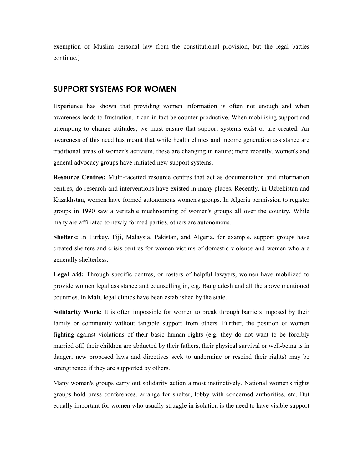exemption of Muslim personal law from the constitutional provision, but the legal battles continue.)

#### SUPPORT SYSTEMS FOR WOMEN

Experience has shown that providing women information is often not enough and when awareness leads to frustration, it can in fact be counter-productive. When mobilising support and attempting to change attitudes, we must ensure that support systems exist or are created. An awareness of this need has meant that while health clinics and income generation assistance are traditional areas of women's activism, these are changing in nature; more recently, women's and general advocacy groups have initiated new support systems.

Resource Centres: Multi-facetted resource centres that act as documentation and information centres, do research and interventions have existed in many places. Recently, in Uzbekistan and Kazakhstan, women have formed autonomous women's groups. In Algeria permission to register groups in 1990 saw a veritable mushrooming of women's groups all over the country. While many are affiliated to newly formed parties, others are autonomous.

Shelters: In Turkey, Fiji, Malaysia, Pakistan, and Algeria, for example, support groups have created shelters and crisis centres for women victims of domestic violence and women who are generally shelterless.

Legal Aid: Through specific centres, or rosters of helpful lawyers, women have mobilized to provide women legal assistance and counselling in, e.g. Bangladesh and all the above mentioned countries. In Mali, legal clinics have been established by the state.

Solidarity Work: It is often impossible for women to break through barriers imposed by their family or community without tangible support from others. Further, the position of women fighting against violations of their basic human rights (e.g. they do not want to be forcibly married off, their children are abducted by their fathers, their physical survival or well-being is in danger; new proposed laws and directives seek to undermine or rescind their rights) may be strengthened if they are supported by others.

Many women's groups carry out solidarity action almost instinctively. National women's rights groups hold press conferences, arrange for shelter, lobby with concerned authorities, etc. But equally important for women who usually struggle in isolation is the need to have visible support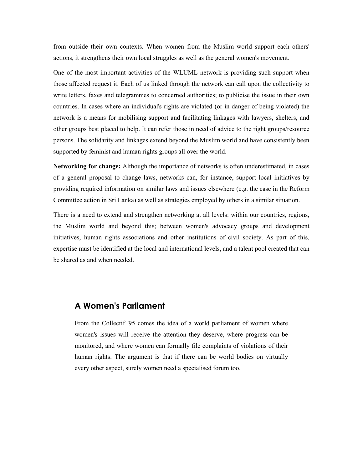from outside their own contexts. When women from the Muslim world support each others' actions, it strengthens their own local struggles as well as the general women's movement.

One of the most important activities of the WLUML network is providing such support when those affected request it. Each of us linked through the network can call upon the collectivity to write letters, faxes and telegrammes to concerned authorities; to publicise the issue in their own countries. In cases where an individual's rights are violated (or in danger of being violated) the network is a means for mobilising support and facilitating linkages with lawyers, shelters, and other groups best placed to help. It can refer those in need of advice to the right groups/resource persons. The solidarity and linkages extend beyond the Muslim world and have consistently been supported by feminist and human rights groups all over the world.

Networking for change: Although the importance of networks is often underestimated, in cases of a general proposal to change laws, networks can, for instance, support local initiatives by providing required information on similar laws and issues elsewhere (e.g. the case in the Reform Committee action in Sri Lanka) as well as strategies employed by others in a similar situation.

There is a need to extend and strengthen networking at all levels: within our countries, regions, the Muslim world and beyond this; between women's advocacy groups and development initiatives, human rights associations and other institutions of civil society. As part of this, expertise must be identified at the local and international levels, and a talent pool created that can be shared as and when needed.

#### A Women's Parliament

From the Collectif '95 comes the idea of a world parliament of women where women's issues will receive the attention they deserve, where progress can be monitored, and where women can formally file complaints of violations of their human rights. The argument is that if there can be world bodies on virtually every other aspect, surely women need a specialised forum too.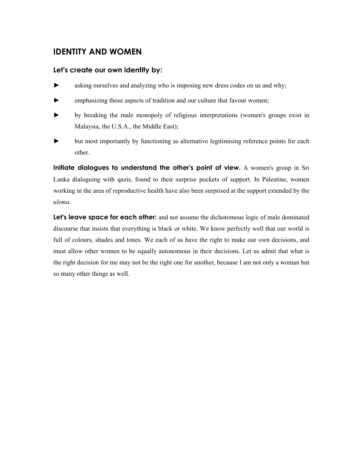# IDENTITY AND WOMEN

#### Let's create our own identity by:

- ► asking ourselves and analyzing who is imposing new dress codes on us and why;
- ► emphasizing those aspects of tradition and our culture that favour women;
- ► by breaking the male monopoly of religious interpretations (women's groups exist in Malaysia, the U.S.A., the Middle East);
- but most importantly by functioning as alternative legitimising reference points for each other.

Initiate dialogues to understand the other's point of view. A women's group in Sri Lanka dialoguing with qazis, found to their surprise pockets of support. In Palestine, women working in the area of reproductive health have also been surprised at the support extended by the ulema.

Let's leave space for each other: and not assume the dichotomous logic of male dominated discourse that insists that everything is black or white. We know perfectly well that our world is full of colours, shades and tones. We each of us have the right to make our own decisions, and must allow other women to be equally autonomous in their decisions. Let us admit that what is the right decision for me may not be the right one for another, because I am not only a woman but so many other things as well.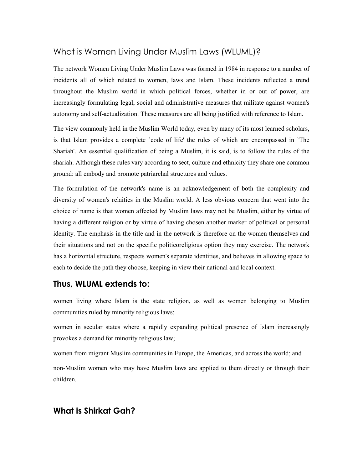# What is Women Living Under Muslim Laws (WLUML)?

The network Women Living Under Muslim Laws was formed in 1984 in response to a number of incidents all of which related to women, laws and Islam. These incidents reflected a trend throughout the Muslim world in which political forces, whether in or out of power, are increasingly formulating legal, social and administrative measures that militate against women's autonomy and self-actualization. These measures are all being justified with reference to Islam.

The view commonly held in the Muslim World today, even by many of its most learned scholars, is that Islam provides a complete `code of life' the rules of which are encompassed in `The Shariah'. An essential qualification of being a Muslim, it is said, is to follow the rules of the shariah. Although these rules vary according to sect, culture and ethnicity they share one common ground: all embody and promote patriarchal structures and values.

The formulation of the network's name is an acknowledgement of both the complexity and diversity of women's relaities in the Muslim world. A less obvious concern that went into the choice of name is that women affected by Muslim laws may not be Muslim, either by virtue of having a different religion or by virtue of having chosen another marker of political or personal identity. The emphasis in the title and in the network is therefore on the women themselves and their situations and not on the specific politicoreligious option they may exercise. The network has a horizontal structure, respects women's separate identities, and believes in allowing space to each to decide the path they choose, keeping in view their national and local context.

#### Thus, WLUML extends to:

women living where Islam is the state religion, as well as women belonging to Muslim communities ruled by minority religious laws;

women in secular states where a rapidly expanding political presence of Islam increasingly provokes a demand for minority religious law;

women from migrant Muslim communities in Europe, the Americas, and across the world; and non-Muslim women who may have Muslim laws are applied to them directly or through their children.

# What is Shirkat Gah?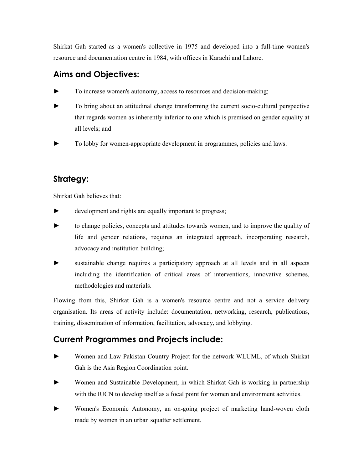Shirkat Gah started as a women's collective in 1975 and developed into a full-time women's resource and documentation centre in 1984, with offices in Karachi and Lahore.

# Aims and Objectives:

- To increase women's autonomy, access to resources and decision-making;
- To bring about an attitudinal change transforming the current socio-cultural perspective that regards women as inherently inferior to one which is premised on gender equality at all levels; and
- ► To lobby for women-appropriate development in programmes, policies and laws.

# Strategy:

Shirkat Gah believes that:

- development and rights are equally important to progress;
- ► to change policies, concepts and attitudes towards women, and to improve the quality of life and gender relations, requires an integrated approach, incorporating research, advocacy and institution building;
- sustainable change requires a participatory approach at all levels and in all aspects including the identification of critical areas of interventions, innovative schemes, methodologies and materials.

Flowing from this, Shirkat Gah is a women's resource centre and not a service delivery organisation. Its areas of activity include: documentation, networking, research, publications, training, dissemination of information, facilitation, advocacy, and lobbying.

# Current Programmes and Projects include:

- ► Women and Law Pakistan Country Project for the network WLUML, of which Shirkat Gah is the Asia Region Coordination point.
- ► Women and Sustainable Development, in which Shirkat Gah is working in partnership with the IUCN to develop itself as a focal point for women and environment activities.
- Women's Economic Autonomy, an on-going project of marketing hand-woven cloth made by women in an urban squatter settlement.